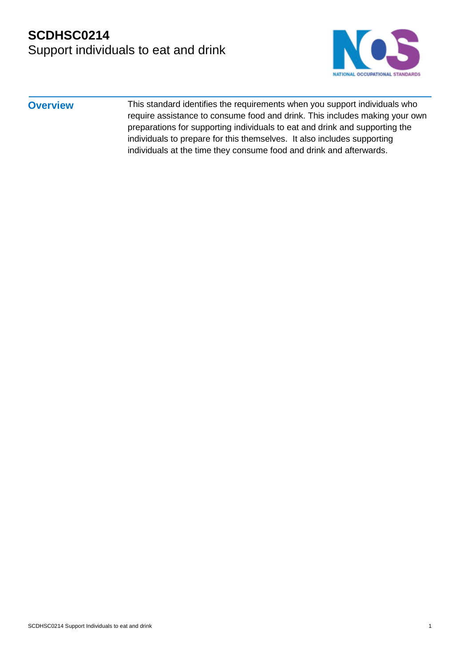# **SCDHSC0214** Support individuals to eat and drink



**Overview** This standard identifies the requirements when you support individuals who require assistance to consume food and drink. This includes making your own preparations for supporting individuals to eat and drink and supporting the individuals to prepare for this themselves. It also includes supporting individuals at the time they consume food and drink and afterwards.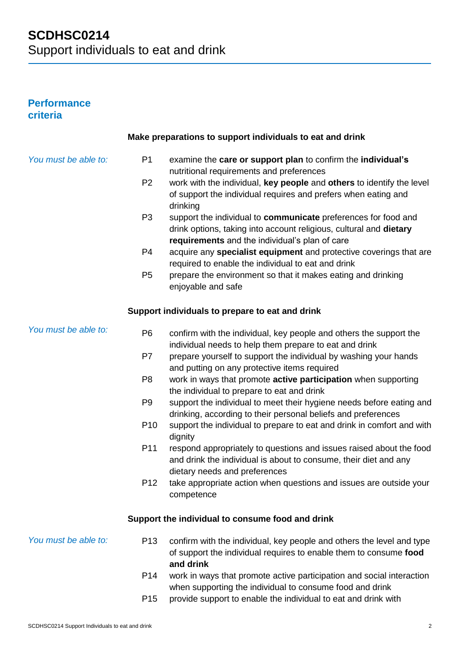# **Performance criteria**

|                      |                 | Make preparations to support individuals to eat and drink                                                                                                                                          |
|----------------------|-----------------|----------------------------------------------------------------------------------------------------------------------------------------------------------------------------------------------------|
| You must be able to: | P <sub>1</sub>  | examine the care or support plan to confirm the individual's<br>nutritional requirements and preferences                                                                                           |
|                      | P <sub>2</sub>  | work with the individual, key people and others to identify the level<br>of support the individual requires and prefers when eating and                                                            |
|                      | P <sub>3</sub>  | drinking<br>support the individual to communicate preferences for food and<br>drink options, taking into account religious, cultural and dietary<br>requirements and the individual's plan of care |
|                      | P <sub>4</sub>  | acquire any specialist equipment and protective coverings that are<br>required to enable the individual to eat and drink                                                                           |
|                      | P <sub>5</sub>  | prepare the environment so that it makes eating and drinking<br>enjoyable and safe                                                                                                                 |
|                      |                 | Support individuals to prepare to eat and drink                                                                                                                                                    |
| You must be able to: | P <sub>6</sub>  | confirm with the individual, key people and others the support the<br>individual needs to help them prepare to eat and drink                                                                       |
|                      | P7              | prepare yourself to support the individual by washing your hands<br>and putting on any protective items required                                                                                   |
|                      | P <sub>8</sub>  | work in ways that promote active participation when supporting<br>the individual to prepare to eat and drink                                                                                       |
|                      | P <sub>9</sub>  | support the individual to meet their hygiene needs before eating and<br>drinking, according to their personal beliefs and preferences                                                              |
|                      | P <sub>10</sub> | support the individual to prepare to eat and drink in comfort and with<br>dignity                                                                                                                  |
|                      | P11             | respond appropriately to questions and issues raised about the food<br>and drink the individual is about to consume, their diet and any<br>dietary needs and preferences                           |
|                      | P <sub>12</sub> | take appropriate action when questions and issues are outside your<br>competence                                                                                                                   |
|                      |                 | Support the individual to consume food and drink                                                                                                                                                   |
| You must be able to: | P <sub>13</sub> | confirm with the individual, key people and others the level and type<br>of support the individual requires to enable them to consume food<br>and drink                                            |
|                      | P <sub>14</sub> | work in ways that promote active participation and social interaction<br>when supporting the individual to consume food and drink                                                                  |
|                      | P <sub>15</sub> | provide support to enable the individual to eat and drink with                                                                                                                                     |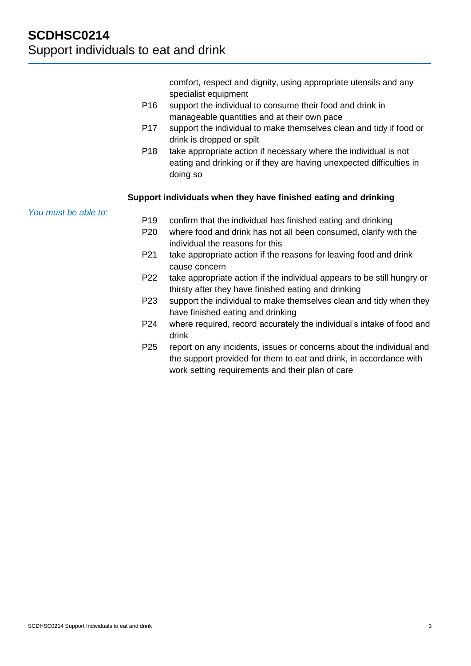comfort, respect and dignity, using appropriate utensils and any specialist equipment

- P16 support the individual to consume their food and drink in manageable quantities and at their own pace
- P17 support the individual to make themselves clean and tidy if food or drink is dropped or spilt
- P18 take appropriate action if necessary where the individual is not eating and drinking or if they are having unexpected difficulties in doing so

### **Support individuals when they have finished eating and drinking**

*You must be able to:*

- P19 confirm that the individual has finished eating and drinking
- P20 where food and drink has not all been consumed, clarify with the individual the reasons for this
- P21 take appropriate action if the reasons for leaving food and drink cause concern
- P22 take appropriate action if the individual appears to be still hungry or thirsty after they have finished eating and drinking
- P23 support the individual to make themselves clean and tidy when they have finished eating and drinking
- P24 where required, record accurately the individual's intake of food and drink
- P25 report on any incidents, issues or concerns about the individual and the support provided for them to eat and drink, in accordance with work setting requirements and their plan of care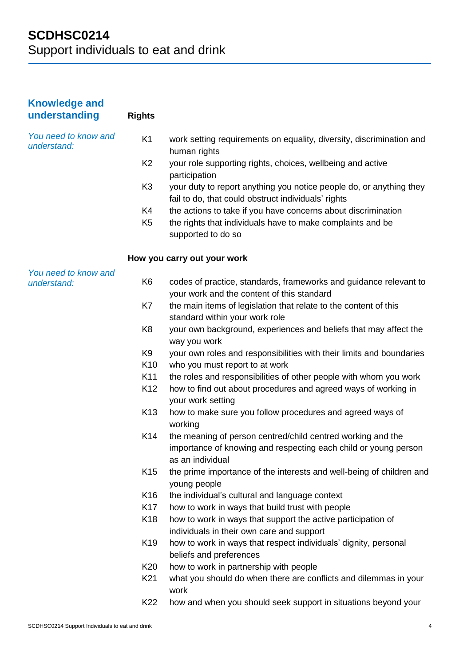| <b>Knowledge and</b><br>understanding | <b>Rights</b>   |                                                                                                                                                    |
|---------------------------------------|-----------------|----------------------------------------------------------------------------------------------------------------------------------------------------|
| You need to know and<br>understand:   | K <sub>1</sub>  | work setting requirements on equality, diversity, discrimination and<br>human rights                                                               |
|                                       | K <sub>2</sub>  | your role supporting rights, choices, wellbeing and active<br>participation                                                                        |
|                                       | K <sub>3</sub>  | your duty to report anything you notice people do, or anything they<br>fail to do, that could obstruct individuals' rights                         |
|                                       | K4              | the actions to take if you have concerns about discrimination                                                                                      |
|                                       | K <sub>5</sub>  | the rights that individuals have to make complaints and be<br>supported to do so                                                                   |
|                                       |                 | How you carry out your work                                                                                                                        |
| You need to know and                  |                 |                                                                                                                                                    |
| understand:                           | K <sub>6</sub>  | codes of practice, standards, frameworks and guidance relevant to<br>your work and the content of this standard                                    |
|                                       | K7              | the main items of legislation that relate to the content of this<br>standard within your work role                                                 |
|                                       | K <sub>8</sub>  | your own background, experiences and beliefs that may affect the<br>way you work                                                                   |
|                                       | K <sub>9</sub>  | your own roles and responsibilities with their limits and boundaries                                                                               |
|                                       | K <sub>10</sub> | who you must report to at work                                                                                                                     |
|                                       | K11             | the roles and responsibilities of other people with whom you work                                                                                  |
|                                       | K <sub>12</sub> | how to find out about procedures and agreed ways of working in<br>your work setting                                                                |
|                                       | K <sub>13</sub> | how to make sure you follow procedures and agreed ways of<br>working                                                                               |
|                                       | K14             | the meaning of person centred/child centred working and the<br>importance of knowing and respecting each child or young person<br>as an individual |
|                                       | K <sub>15</sub> | the prime importance of the interests and well-being of children and<br>young people                                                               |
|                                       | K16             | the individual's cultural and language context                                                                                                     |
|                                       | K <sub>17</sub> | how to work in ways that build trust with people                                                                                                   |
|                                       | K <sub>18</sub> | how to work in ways that support the active participation of<br>individuals in their own care and support                                          |
|                                       | K19             | how to work in ways that respect individuals' dignity, personal<br>beliefs and preferences                                                         |
|                                       | K20             | how to work in partnership with people                                                                                                             |
|                                       | K <sub>21</sub> | what you should do when there are conflicts and dilemmas in your<br>work                                                                           |
|                                       | K22             | how and when you should seek support in situations beyond your                                                                                     |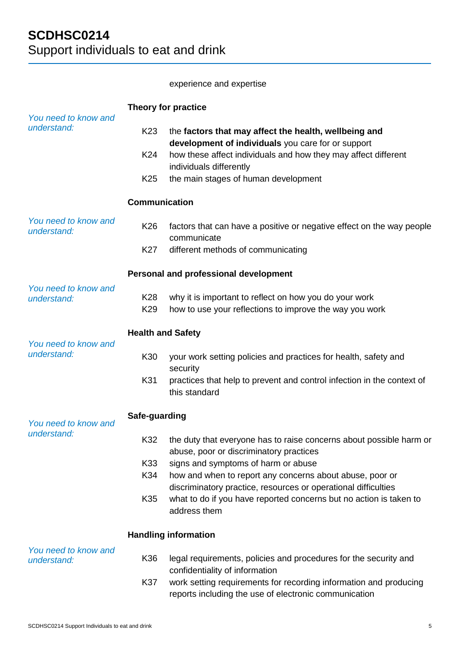## experience and expertise

|                                       | Theory for practice                   |                                                                                                                                                              |  |
|---------------------------------------|---------------------------------------|--------------------------------------------------------------------------------------------------------------------------------------------------------------|--|
| You need to know and<br>understand:   | K <sub>23</sub>                       | the factors that may affect the health, wellbeing and<br>development of individuals you care for or support                                                  |  |
|                                       | K24                                   | how these affect individuals and how they may affect different<br>individuals differently                                                                    |  |
|                                       | K <sub>25</sub>                       | the main stages of human development                                                                                                                         |  |
|                                       | <b>Communication</b>                  |                                                                                                                                                              |  |
| You need to know and<br>understand:   | K <sub>26</sub>                       | factors that can have a positive or negative effect on the way people<br>communicate                                                                         |  |
|                                       | K27                                   | different methods of communicating                                                                                                                           |  |
|                                       | Personal and professional development |                                                                                                                                                              |  |
| You need to know and<br>understand:   | K28<br>K <sub>29</sub>                | why it is important to reflect on how you do your work<br>how to use your reflections to improve the way you work                                            |  |
| <b>Health and Safety</b>              |                                       |                                                                                                                                                              |  |
| You need to know and<br>understand:   | K30                                   | your work setting policies and practices for health, safety and<br>security                                                                                  |  |
|                                       | K31                                   | practices that help to prevent and control infection in the context of<br>this standard                                                                      |  |
| Safe-guarding<br>You need to know and |                                       |                                                                                                                                                              |  |
| understand:                           | K32                                   | the duty that everyone has to raise concerns about possible harm or<br>abuse, poor or discriminatory practices                                               |  |
|                                       | K33<br>K34                            | signs and symptoms of harm or abuse<br>how and when to report any concerns about abuse, poor or                                                              |  |
|                                       |                                       | discriminatory practice, resources or operational difficulties                                                                                               |  |
|                                       | K35                                   | what to do if you have reported concerns but no action is taken to<br>address them                                                                           |  |
|                                       |                                       | <b>Handling information</b>                                                                                                                                  |  |
| You need to know and<br>understand:   | K36                                   | legal requirements, policies and procedures for the security and                                                                                             |  |
|                                       | K37                                   | confidentiality of information<br>work setting requirements for recording information and producing<br>reports including the use of electronic communication |  |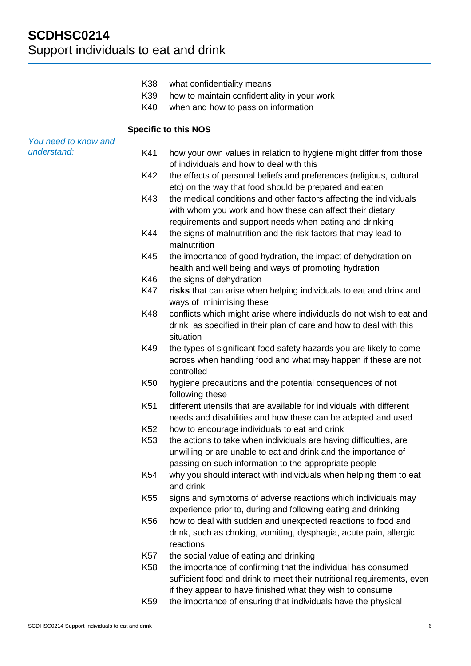- K38 what confidentiality means
- K39 how to maintain confidentiality in your work
- K40 when and how to pass on information

#### **Specific to this NOS**

| You need to know and |  |
|----------------------|--|
| understand:          |  |

- K41 how your own values in relation to hygiene might differ from those of individuals and how to deal with this
	- K42 the effects of personal beliefs and preferences (religious, cultural etc) on the way that food should be prepared and eaten
	- K43 the medical conditions and other factors affecting the individuals with whom you work and how these can affect their dietary requirements and support needs when eating and drinking
	- K44 the signs of malnutrition and the risk factors that may lead to malnutrition
	- K45 the importance of good hydration, the impact of dehydration on health and well being and ways of promoting hydration
	- K46 the signs of dehydration
	- K47 **risks** that can arise when helping individuals to eat and drink and ways of minimising these
	- K48 conflicts which might arise where individuals do not wish to eat and drink as specified in their plan of care and how to deal with this situation
	- K49 the types of significant food safety hazards you are likely to come across when handling food and what may happen if these are not controlled
	- K50 hygiene precautions and the potential consequences of not following these
	- K51 different utensils that are available for individuals with different needs and disabilities and how these can be adapted and used
	- K52 how to encourage individuals to eat and drink
	- K53 the actions to take when individuals are having difficulties, are unwilling or are unable to eat and drink and the importance of passing on such information to the appropriate people
	- K54 why you should interact with individuals when helping them to eat and drink
	- K55 signs and symptoms of adverse reactions which individuals may experience prior to, during and following eating and drinking
	- K56 how to deal with sudden and unexpected reactions to food and drink, such as choking, vomiting, dysphagia, acute pain, allergic reactions
- K57 the social value of eating and drinking
- K58 the importance of confirming that the individual has consumed sufficient food and drink to meet their nutritional requirements, even if they appear to have finished what they wish to consume
- K59 the importance of ensuring that individuals have the physical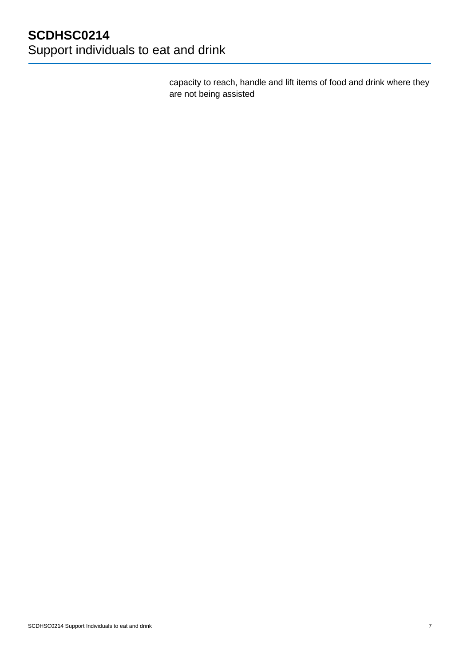capacity to reach, handle and lift items of food and drink where they are not being assisted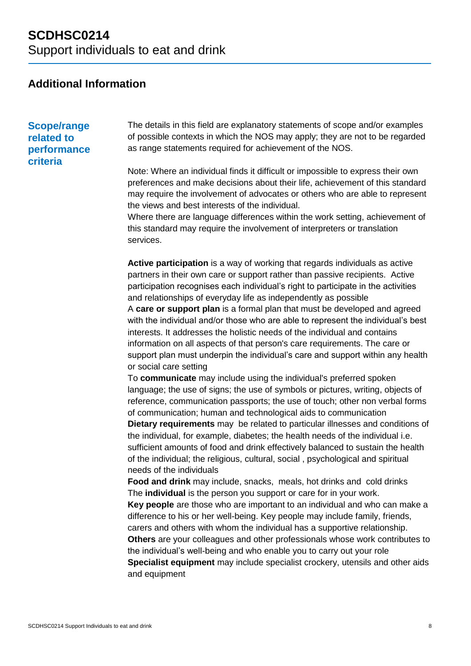# **Additional Information**

**Scope/range related to performance criteria**

The details in this field are explanatory statements of scope and/or examples of possible contexts in which the NOS may apply; they are not to be regarded as range statements required for achievement of the NOS.

Note: Where an individual finds it difficult or impossible to express their own preferences and make decisions about their life, achievement of this standard may require the involvement of advocates or others who are able to represent the views and best interests of the individual.

Where there are language differences within the work setting, achievement of this standard may require the involvement of interpreters or translation services.

**Active participation** is a way of working that regards individuals as active partners in their own care or support rather than passive recipients. Active participation recognises each individual's right to participate in the activities and relationships of everyday life as independently as possible A **care or support plan** is a formal plan that must be developed and agreed with the individual and/or those who are able to represent the individual's best interests. It addresses the holistic needs of the individual and contains information on all aspects of that person's care requirements. The care or support plan must underpin the individual's care and support within any health or social care setting

To **communicate** may include using the individual's preferred spoken language; the use of signs; the use of symbols or pictures, writing, objects of reference, communication passports; the use of touch; other non verbal forms of communication; human and technological aids to communication

**Dietary requirements** may be related to particular illnesses and conditions of the individual, for example, diabetes; the health needs of the individual i.e. sufficient amounts of food and drink effectively balanced to sustain the health of the individual; the religious, cultural, social , psychological and spiritual needs of the individuals

**Food and drink** may include, snacks, meals, hot drinks and cold drinks The **individual** is the person you support or care for in your work.

**Key people** are those who are important to an individual and who can make a difference to his or her well-being. Key people may include family, friends, carers and others with whom the individual has a supportive relationship.

**Others** are your colleagues and other professionals whose work contributes to the individual's well-being and who enable you to carry out your role

**Specialist equipment** may include specialist crockery, utensils and other aids and equipment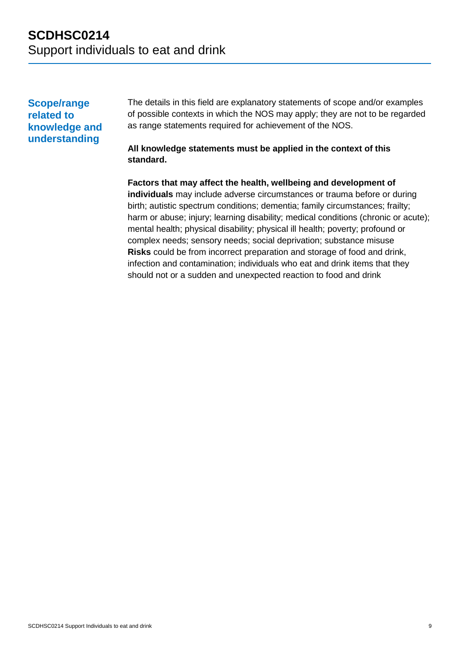# **Scope/range related to knowledge and understanding**

The details in this field are explanatory statements of scope and/or examples of possible contexts in which the NOS may apply; they are not to be regarded as range statements required for achievement of the NOS.

## **All knowledge statements must be applied in the context of this standard.**

**Factors that may affect the health, wellbeing and development of individuals** may include adverse circumstances or trauma before or during birth; autistic spectrum conditions; dementia; family circumstances; frailty; harm or abuse; injury; learning disability; medical conditions (chronic or acute); mental health; physical disability; physical ill health; poverty; profound or complex needs; sensory needs; social deprivation; substance misuse **Risks** could be from incorrect preparation and storage of food and drink, infection and contamination; individuals who eat and drink items that they should not or a sudden and unexpected reaction to food and drink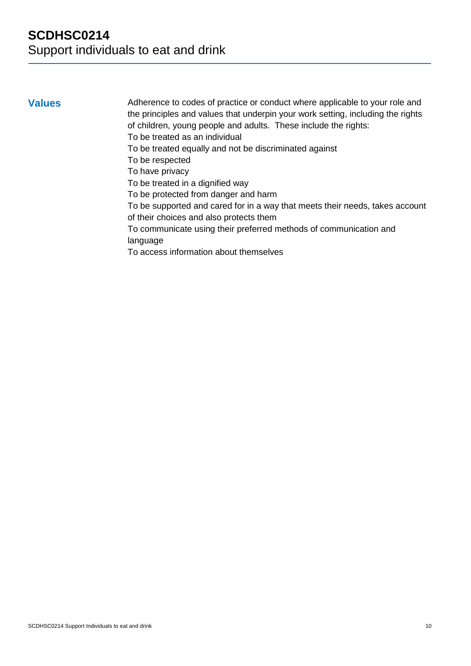**Values** Adherence to codes of practice or conduct where applicable to your role and the principles and values that underpin your work setting, including the rights of children, young people and adults. These include the rights:

To be treated as an individual

To be treated equally and not be discriminated against

To be respected

To have privacy

To be treated in a dignified way

To be protected from danger and harm

To be supported and cared for in a way that meets their needs, takes account of their choices and also protects them

To communicate using their preferred methods of communication and language

To access information about themselves